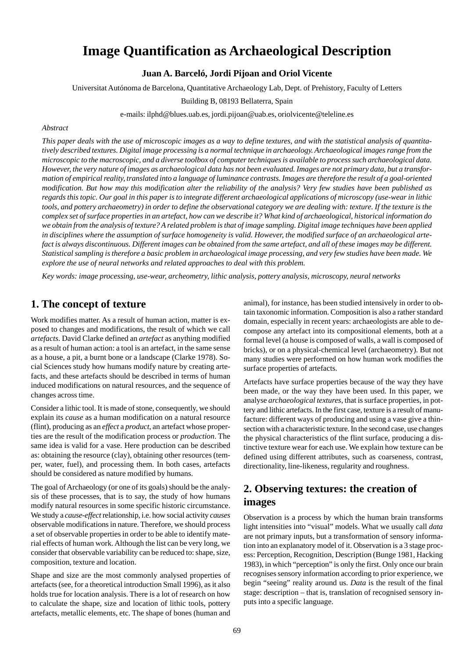# **Image Quantification as Archaeological Description**

### **Juan A. Barceló, Jordi Pijoan and Oriol Vicente**

Universitat Autónoma de Barcelona, Quantitative Archaeology Lab, Dept. of Prehistory, Faculty of Letters

Building B, 08193 Bellaterra, Spain

e-mails: ilphd@blues.uab.es, jordi.pijoan@uab.es, oriolvicente@teleline.es

#### *Abstract*

*This paper deals with the use of microscopic images as a way to define textures, and with the statistical analysis of quantitatively described textures. Digital image processing is a normal technique in archaeology. Archaeological images range from the microscopic to the macroscopic, and a diverse toolbox of computer techniques is available to process such archaeological data. However, the very nature of images as archaeological data has not been evaluated. Images are not primary data, but a transformation of empirical reality, translated into a language of luminance contrasts. Images are therefore the result of a goal-oriented modification. But how may this modification alter the reliability of the analysis? Very few studies have been published as regards this topic. Our goal in this paper is to integrate different archaeological applications of microscopy (use-wear in lithic tools, and pottery archaeometry) in order to define the observational category we are dealing with: texture. If the texture is the complex set of surface properties in an artefact, how can we describe it? What kind of archaeological, historical information do we obtain from the analysis of texture? A related problem is that of image sampling. Digital image techniques have been applied in disciplines where the assumption of surface homogeneity is valid. However, the modified surface of an archaeological artefact is always discontinuous. Different images can be obtained from the same artefact, and all of these images may be different. Statistical sampling is therefore a basic problem in archaeological image processing, and very few studies have been made. We explore the use of neural networks and related approaches to deal with this problem.*

*Key words: image processing, use-wear, archeometry, lithic analysis, pottery analysis, microscopy, neural networks*

### **1. The concept of texture**

Work modifies matter. As a result of human action, matter is exposed to changes and modifications, the result of which we call *artefacts*. David Clarke defined an *artefact* as anything modified as a result of human action: a tool is an artefact, in the same sense as a house, a pit, a burnt bone or a landscape (Clarke 1978). Social Sciences study how humans modify nature by creating artefacts, and these artefacts should be described in terms of human induced modifications on natural resources, and the sequence of changes across time.

Consider a lithic tool. It is made of stone, consequently, we should explain its *cause* as a human modification on a natural resource (flint), producing as an *effect* a *product*, an artefact whose properties are the result of the modification process or *production*. The same idea is valid for a vase. Here production can be described as: obtaining the resource (clay), obtaining other resources (temper, water, fuel), and processing them. In both cases, artefacts should be considered as nature modified by humans.

The goal of Archaeology (or one of its goals) should be the analysis of these processes, that is to say, the study of how humans modify natural resources in some specific historic circumstance. We study a *cause-effect* relationship, i.e. how social activity *causes* observable modifications in nature. Therefore, we should process a set of observable properties in order to be able to identify material effects of human work. Although the list can be very long, we consider that observable variability can be reduced to: shape, size, composition, texture and location.

Shape and size are the most commonly analysed properties of artefacts (see, for a theoretical introduction Small 1996), as it also holds true for location analysis. There is a lot of research on how to calculate the shape, size and location of lithic tools, pottery artefacts, metallic elements, etc. The shape of bones (human and animal), for instance, has been studied intensively in order to obtain taxonomic information. Composition is also a rather standard domain, especially in recent years: archaeologists are able to decompose any artefact into its compositional elements, both at a formal level (a house is composed of walls, a wall is composed of bricks), or on a physical-chemical level (archaeometry). But not many studies were performed on how human work modifies the surface properties of artefacts.

Artefacts have surface properties because of the way they have been made, or the way they have been used. In this paper, we analyse *archaeological textures*, that is surface properties, in pottery and lithic artefacts. In the first case, texture is a result of manufacture: different ways of producing and using a vase give a thinsection with a characteristic texture. In the second case, use changes the physical characteristics of the flint surface, producing a distinctive texture wear for each use. We explain how texture can be defined using different attributes, such as coarseness, contrast, directionality, line-likeness, regularity and roughness.

# **2. Observing textures: the creation of images**

Observation is a process by which the human brain transforms light intensities into "visual" models. What we usually call *data* are not primary inputs, but a transformation of sensory information into an explanatory model of it. Observation is a 3 stage process: Perception, Recognition, Description (Bunge 1981, Hacking 1983), in which "perception" is only the first. Only once our brain recognises sensory information according to prior experience, we begin "seeing" reality around us. *Data* is the result of the final stage: description – that is, translation of recognised sensory inputs into a specific language.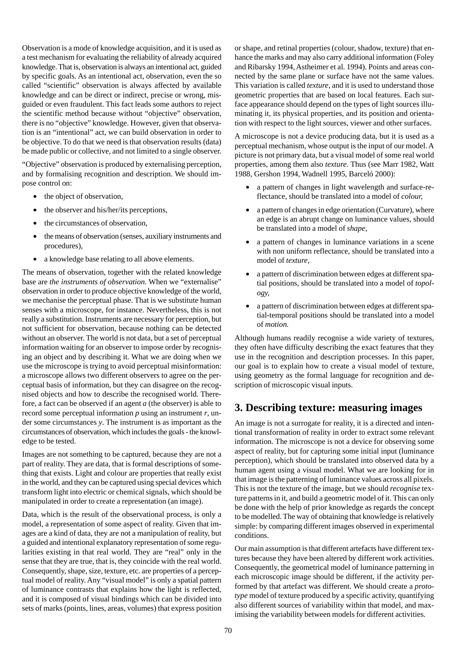Observation is a mode of knowledge acquisition, and it is used as a test mechanism for evaluating the reliability of already acquired knowledge. That is, observation is always an intentional act, guided by specific goals. As an intentional act, observation, even the so called "scientific" observation is always affected by available knowledge and can be direct or indirect, precise or wrong, misguided or even fraudulent. This fact leads some authors to reject the scientific method because without "objective" observation, there is no "objective" knowledge. However, given that observation is an "intentional" act, we can build observation in order to be objective. To do that we need is that observation results (data) be made public or collective, and not limited to a single observer.

"Objective" observation is produced by externalising perception, and by formalising recognition and description. We should impose control on:

- the object of observation,
- the observer and his/her/its perceptions,
- the circumstances of observation,
- the means of observation (senses, auxiliary instruments and procedures),
- a knowledge base relating to all above elements.

The means of observation, together with the related knowledge base are *the instruments of observation*. When we "externalise" observation in order to produce objective knowledge of the world, we mechanise the perceptual phase. That is we substitute human senses with a microscope, for instance. Nevertheless, this is not really a substitution. Instruments are necessary for perception, but not sufficient for observation, because nothing can be detected without an observer. The world is not data, but a set of perceptual information waiting for an observer to impose order by recognising an object and by describing it. What we are doing when we use the microscope is trying to avoid perceptual misinformation: a microscope allows two different observers to agree on the perceptual basis of information, but they can disagree on the recognised objects and how to describe the recognised world. Therefore, a fact can be observed if an agent *a* (the observer) is able to record some perceptual information *p* using an instrument *r*, under some circumstances *y*. The instrument is as important as the circumstances of observation, which includes the goals - the knowledge to be tested.

Images are not something to be captured, because they are not a part of reality. They are data, that is formal descriptions of something that exists. Light and colour are properties that really exist in the world, and they can be captured using special devices which transform light into electric or chemical signals, which should be manipulated in order to create a representation (an image).

Data, which is the result of the observational process, is only a model, a representation of some aspect of reality. Given that images are a kind of data, they are not a manipulation of reality, but a guided and intentional explanatory representation of some regularities existing in that real world. They are "real" only in the sense that they are true, that is, they coincide with the real world. Consequently, shape, size, texture, etc. are properties of a perceptual model of reality. Any "visual model" is only a spatial pattern of luminance contrasts that explains how the light is reflected, and it is composed of visual bindings which can be divided into sets of marks (points, lines, areas, volumes) that express position

or shape, and retinal properties (colour, shadow, texture) that enhance the marks and may also carry additional information (Foley and Ribarsky 1994, Astheimer et al. 1994). Points and areas connected by the same plane or surface have not the same values. This variation is called *texture*, and it is used to understand those geometric properties that are based on local features. Each surface appearance should depend on the types of light sources illuminating it, its physical properties, and its position and orientation with respect to the light sources, viewer and other surfaces.

A microscope is not a device producing data, but it is used as a perceptual mechanism, whose output is the input of our model. A picture is not primary data, but a visual model of some real world properties, among them also *texture*. Thus (see Marr 1982, Watt 1988, Gershon 1994, Wadnell 1995, Barceló 2000):

- a pattern of changes in light wavelength and surface-reflectance, should be translated into a model of *colour,*
- a pattern of changes in edge orientation (Curvature), where an edge is an abrupt change on luminance values, should be translated into a model of *shape*,
- a pattern of changes in luminance variations in a scene with non uniform reflectance, should be translated into a model of *texture*,
- a pattern of discrimination between edges at different spatial positions, should be translated into a model of *topology,*
- a pattern of discrimination between edges at different spatial-temporal positions should be translated into a model of *motion.*

Although humans readily recognise a wide variety of textures, they often have difficulty describing the exact features that they use in the recognition and description processes. In this paper, our goal is to explain how to create a visual model of texture, using geometry as the formal language for recognition and description of microscopic visual inputs.

### **3. Describing texture: measuring images**

An image is not a surrogate for reality, it is a directed and intentional transformation of reality in order to extract some relevant information. The microscope is not a device for observing some aspect of reality, but for capturing some initial input (luminance perception), which should be translated into observed data by a human agent using a visual model. What we are looking for in that image is the patterning of luminance values across all pixels. This is not the texture of the image, but we should *recognise* texture patterns in it, and build a geometric model of it. This can only be done with the help of prior knowledge as regards the concept to be modelled. The way of obtaining that knowledge is relatively simple: by comparing different images observed in experimental conditions.

Our main assumption is that different artefacts have different textures because they have been altered by different work activities. Consequently, the geometrical model of luminance patterning in each microscopic image should be different, if the activity performed by that artefact was different. We should create a *prototype* model of texture produced by a specific activity, quantifying also different sources of variability within that model, and maximising the variability between models for different activities.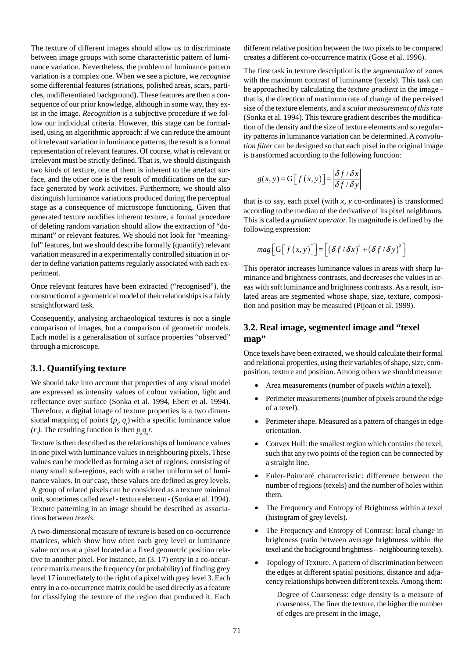The texture of different images should allow us to discriminate between image groups with some characteristic pattern of luminance variation. Nevertheless, the problem of luminance pattern variation is a complex one. When we see a picture, we *recognise* some differential features (striations, polished areas, scars, particles, undifferentiated background). These features are then a consequence of our prior knowledge, although in some way, they exist in the image. *Recognition* is a subjective procedure if we follow our individual criteria. However, this stage can be formalised, using an algorithmic approach: if we can reduce the amount of irrelevant variation in luminance patterns, the result is a formal representation of relevant features. Of course, what is relevant or irrelevant must be strictly defined. That is, we should distinguish two kinds of texture, one of them is inherent to the artefact surface, and the other one is the result of modifications on the surface generated by work activities. Furthermore, we should also distinguish luminance variations produced during the perceptual stage as a consequence of microscope functioning. Given that generated texture modifies inherent texture, a formal procedure of deleting random variation should allow the extraction of "dominant" or relevant features. We should not look for "meaningful" features, but we should describe formally (quantify) relevant variation measured in a experimentally controlled situation in order to define variation patterns regularly associated with each experiment.

Once relevant features have been extracted ("recognised"), the construction of a geometrical model of their relationships is a fairly straightforward task.

Consequently, analysing archaeological textures is not a single comparison of images, but a comparison of geometric models. Each model is a generalisation of surface properties "observed" through a microscope.

### **3.1. Quantifying texture**

We should take into account that properties of any visual model are expressed as intensity values of colour variation, light and reflectance over surface (Sonka et al. 1994, Ebert et al. 1994). Therefore, a digital image of texture properties is a two dimensional mapping of points  $(p_i, q_j)$  with a specific luminance value  $(r_i)$ . The resulting function is then  $p_x q_x r$ .

Texture is then described as the relationships of luminance values in one pixel with luminance values in neighbouring pixels. These values can be modelled as forming a set of regions, consisting of many small sub-regions, each with a rather uniform set of luminance values. In our case, these values are defined as grey levels. A group of related pixels can be considered as a texture minimal unit, sometimes called *texel* - texture element - (Sonka et al. 1994). Texture patterning in an image should be described as associations between *texels*.

A two-dimensional measure of texture is based on co-occurrence matrices, which show how often each grey level or luminance value occurs at a pixel located at a fixed geometric position relative to another pixel. For instance, an (3. 17) entry in a co-occurrence matrix means the frequency (or probability) of finding grey level 17 immediately to the right of a pixel with grey level 3. Each entry in a co-occurrence matrix could be used directly as a feature for classifying the texture of the region that produced it. Each different relative position between the two pixels to be compared creates a different co-occurrence matrix (Gose et al. 1996).

The first task in texture description is the *segmentation* of zones with the maximum contrast of luminance (texels). This task can be approached by calculating the *texture gradient* in the image that is, the direction of maximum rate of change of the perceived size of the texture elements, and a *scalar measurement of this rate* (Sonka et al. 1994). This texture gradient describes the modification of the density and the size of texture elements and so regularity patterns in luminance variation can be determined. A *convolution filter* can be designed so that each pixel in the original image is transformed according to the following function:

$$
g(x, y) = G[f(x, y)] = \left| \frac{\delta f / \delta x}{\delta f / \delta y} \right|
$$

that is to say, each pixel (with *x, y* co-ordinates) is transformed according to the median of the derivative of its pixel neighbours. This is called a *gradient operator.* Its magnitude is defined by the following expression:

$$
mag\Big[G\Big[f\big(x,y\big)\Big]\Big] = \Big[\big(\delta f/\delta x\big)^2 + \big(\delta f/\delta y\big)^2\Big]
$$

This operator increases luminance values in areas with sharp luminance and brightness contrasts, and decreases the values in areas with soft luminance and brightness contrasts. As a result, isolated areas are segmented whose shape, size, texture, composition and position may be measured (Pijoan et al. 1999).

### **3.2. Real image, segmented image and "texel map"**

Once texels have been extracted, we should calculate their formal and relational properties, using their variables of shape, size, composition, texture and position. Among others we should measure:

- Area measurements (number of pixels *within* a texel).
- Perimeter measurements (number of pixels around the edge of a texel).
- Perimeter shape. Measured as a pattern of changes in edge orientation.
- Convex Hull: the smallest region which contains the texel, such that any two points of the region can be connected by a straight line.
- Euler-Poincaré characteristic: difference between the number of regions (texels) and the number of holes within them.
- The Frequency and Entropy of Brightness within a texel (histogram of grey levels).
- The Frequency and Entropy of Contrast: local change in brightness (ratio between average brightness within the texel and the background brightness – neighbouring texels).
- Topology of Texture. A pattern of discrimination between the edges at different spatial positions, distance and adjacency relationships between different texels. Among them:

Degree of Coarseness: edge density is a measure of coarseness. The finer the texture, the higher the number of edges are present in the image,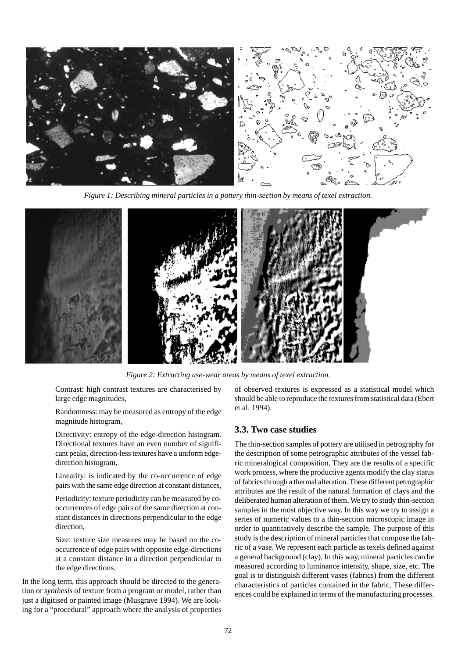

*Figure 1: Describing mineral particles in a pottery thin-section by means of texel extraction.*



*Figure 2: Extracting use-wear areas by means of texel extraction.*

Contrast: high contrast textures are characterised by large edge magnitudes,

Randomness: may be measured as entropy of the edge magnitude histogram,

Directivity: entropy of the edge-direction histogram. Directional textures have an even number of significant peaks, direction-less textures have a uniform edgedirection histogram,

Linearity: is indicated by the co-occurrence of edge pairs with the same edge direction at constant distances,

Periodicity: texture periodicity can be measured by cooccurrences of edge pairs of the same direction at constant distances in directions perpendicular to the edge direction,

Size: texture size measures may be based on the cooccurrence of edge pairs with opposite edge-directions at a constant distance in a direction perpendicular to the edge directions.

In the long term, this approach should be directed to the generation or *synthesis* of texture from a program or model, rather than just a digitised or painted image (Musgrave 1994). We are looking for a "procedural" approach where the analysis of properties

of observed textures is expressed as a statistical model which should be able to reproduce the textures from statistical data (Ebert et al. 1994).

#### **3.3. Two case studies**

The thin-section samples of pottery are utilised in petrography for the description of some petrographic attributes of the vessel fabric mineralogical composition. They are the results of a specific work process, where the productive agents modify the clay status of fabrics through a thermal alteration. These different petrographic attributes are the result of the natural formation of clays and the deliberated human alteration of them. We try to study thin-section samples in the most objective way. In this way we try to assign a series of numeric values to a thin-section microscopic image in order to quantitatively describe the sample. The purpose of this study is the description of mineral particles that compose the fabric of a vase. We represent each particle as texels defined against a general background (clay). In this way, mineral particles can be measured according to luminance intensity, shape, size, etc. The goal is to distinguish different vases (fabrics) from the different characteristics of particles contained in the fabric. These differences could be explained in terms of the manufacturing processes.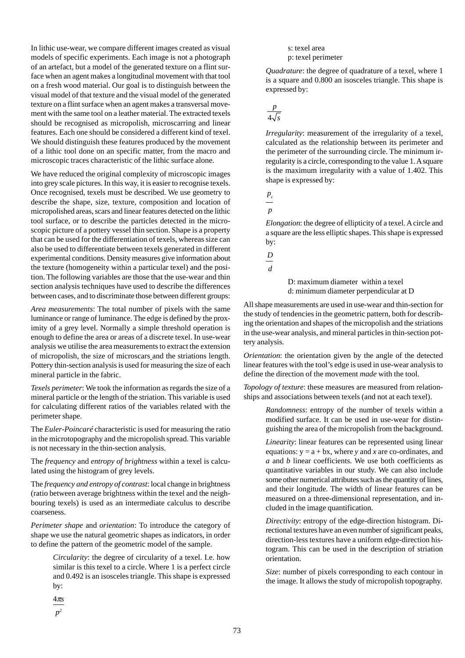In lithic use-wear, we compare different images created as visual models of specific experiments. Each image is not a photograph of an artefact, but a model of the generated texture on a flint surface when an agent makes a longitudinal movement with that tool on a fresh wood material. Our goal is to distinguish between the visual model of that texture and the visual model of the generated texture on a flint surface when an agent makes a transversal movement with the same tool on a leather material. The extracted texels should be recognised as micropolish, microscarring and linear features. Each one should be considered a different kind of texel. We should distinguish these features produced by the movement of a lithic tool done on an specific matter, from the macro and microscopic traces characteristic of the lithic surface alone.

We have reduced the original complexity of microscopic images into grey scale pictures. In this way, it is easier to recognise texels. Once recognised, texels must be described. We use geometry to describe the shape, size, texture, composition and location of micropolished areas, scars and linear features detected on the lithic tool surface, or to describe the particles detected in the microscopic picture of a pottery vessel thin section. Shape is a property that can be used for the differentiation of texels, whereas size can also be used to differentiate between texels generated in different experimental conditions. Density measures give information about the texture (homogeneity within a particular texel) and the position. The following variables are those that the use-wear and thin section analysis techniques have used to describe the differences between cases, and to discriminate those between different groups:

*Area measurements*: The total number of pixels with the same luminance or range of luminance. The edge is defined by the proximity of a grey level. Normally a simple threshold operation is enough to define the area or areas of a discrete texel. In use-wear analysis we utilise the area measurements to extract the extension of micropolish, the size of microscars and the striations length. Pottery thin-section analysis is used for measuring the size of each mineral particle in the fabric.

*Texels perimeter*: We took the information as regards the size of a mineral particle or the length of the striation. This variable is used for calculating different ratios of the variables related with the perimeter shape.

The *Euler-Poincaré* characteristic is used for measuring the ratio in the microtopography and the micropolish spread. This variable is not necessary in the thin-section analysis.

The *frequency* and *entropy of brightness* within a texel is calculated using the histogram of grey levels.

The *frequency and entropy of contrast*: local change in brightness (ratio between average brightness within the texel and the neighbouring texels) is used as an intermediate calculus to describe coarseness.

*Perimeter shape* and *orientation*: To introduce the category of shape we use the natural geometric shapes as indicators, in order to define the pattern of the geometric model of the sample.

> *Circularity*: the degree of circularity of a texel. I.e. how similar is this texel to a circle. Where 1 is a perfect circle and 0.492 is an isosceles triangle. This shape is expressed by:

4π*s*

*p2*

s: texel area p: texel perimeter

*Quadrature*: the degree of quadrature of a texel, where 1 is a square and 0.800 an isosceles triangle. This shape is expressed by:

4 *p s*

*Irregularity*: measurement of the irregularity of a texel, calculated as the relationship between its perimeter and the perimeter of the surrounding circle. The minimum irregularity is a circle, corresponding to the value 1. A square is the maximum irregularity with a value of 1.402. This shape is expressed by:

*pc*

*p*

*Elongation*: the degree of ellipticity of a texel. A circle and a square are the less elliptic shapes. This shape is expressed by:

*D*

*d*

D: maximum diameter within a texel d: minimum diameter perpendicular at D

All shape measurements are used in use-wear and thin-section for the study of tendencies in the geometric pattern, both for describing the orientation and shapes of the micropolish and the striations in the use-wear analysis, and mineral particles in thin-section pottery analysis.

*Orientation*: the orientation given by the angle of the detected linear features with the tool's edge is used in use-wear analysis to define the direction of the movement *made* with the tool.

*Topology of texture*: these measures are measured from relationships and associations between texels (and not at each texel).

> *Randomness*: entropy of the number of texels within a modified surface. It can be used in use-wear for distinguishing the area of the micropolish from the background.

> *Linearity*: linear features can be represented using linear equations:  $y = a + bx$ , where *y* and *x* are co-ordinates, and *a* and *b* linear coefficients. We use both coefficients as quantitative variables in our study. We can also include some other numerical attributes such as the quantity of lines, and their longitude. The width of linear features can be measured on a three-dimensional representation, and included in the image quantification.

> *Directivity*: entropy of the edge-direction histogram. Directional textures have an even number of significant peaks, direction-less textures have a uniform edge-direction histogram. This can be used in the description of striation orientation.

> *Size*: number of pixels corresponding to each contour in the image. It allows the study of micropolish topography.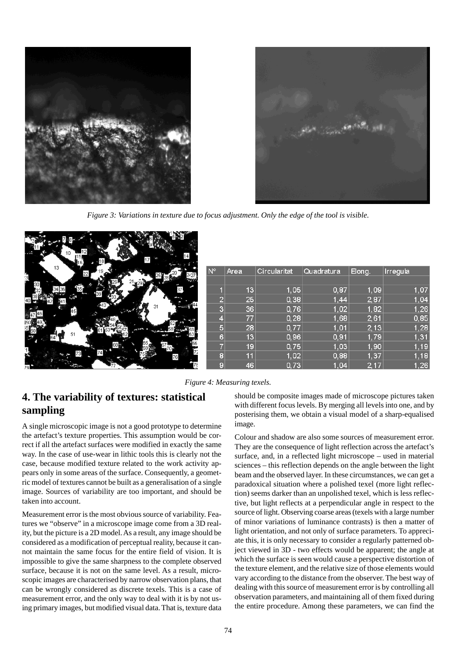



*Figure 3: Variations in texture due to focus adjustment. Only the edge of the tool is visible.*

|     | 13 | 22 |    |    | $ N_{\rm o} $ | Area | Circularitat | Quadratura | Elong. | Irregula |
|-----|----|----|----|----|---------------|------|--------------|------------|--------|----------|
| i30 |    |    |    |    |               |      |              |            |        |          |
|     |    |    |    | 37 |               | 13   | 1,05         | 0,87       | 1,09   | 1,07     |
|     |    |    |    |    | 2             | 25   | 0,38         | 1,44       | 2,87   | 1,04     |
|     |    |    |    | 31 | 3             | 36   | 0,76         | 1,02       | 1,82   | 1,26     |
| 47V |    |    |    |    | 4             | 77   | 0,28         | 1,68       | 2,61   | 0,85     |
|     |    |    |    |    | 5,            | 28   | 0,77         | 1,01       | 2, 13  | 1,28     |
| Ø   |    | 51 |    |    | 6             | 13   | 0,96         | 0,91       | 1,79   | 1,31     |
|     |    |    | 68 |    | 7             | 19   | 0,75         | 1,03       | 1,90   | 1,19     |
| L.  |    |    |    | 76 | 8             | 11   | 1,02         | 0,88       | 1,37   | 1,18     |
|     |    |    |    |    | 9             | 46   | 0,73         | 1,04       | 2,17   | 1,26     |

*Figure 4: Measuring texels.*

# **4. The variability of textures: statistical sampling**

A single microscopic image is not a good prototype to determine the artefact's texture properties. This assumption would be correct if all the artefact surfaces were modified in exactly the same way. In the case of use-wear in lithic tools this is clearly not the case, because modified texture related to the work activity appears only in some areas of the surface. Consequently, a geometric model of textures cannot be built as a generalisation of a single image. Sources of variability are too important, and should be taken into account.

Measurement error is the most obvious source of variability. Features we "observe" in a microscope image come from a 3D reality, but the picture is a 2D model. As a result, any image should be considered as a modification of perceptual reality, because it cannot maintain the same focus for the entire field of vision. It is impossible to give the same sharpness to the complete observed surface, because it is not on the same level. As a result, microscopic images are characterised by narrow observation plans, that can be wrongly considered as discrete texels. This is a case of measurement error, and the only way to deal with it is by not using primary images, but modified visual data. That is, texture data

should be composite images made of microscope pictures taken with different focus levels. By merging all levels into one, and by posterising them, we obtain a visual model of a sharp-equalised image.

Colour and shadow are also some sources of measurement error. They are the consequence of light reflection across the artefact's surface, and, in a reflected light microscope – used in material sciences – this reflection depends on the angle between the light beam and the observed layer. In these circumstances, we can get a paradoxical situation where a polished texel (more light reflection) seems darker than an unpolished texel, which is less reflective, but light reflects at a perpendicular angle in respect to the source of light. Observing coarse areas (texels with a large number of minor variations of luminance contrasts) is then a matter of light orientation, and not only of surface parameters. To appreciate this, it is only necessary to consider a regularly patterned object viewed in 3D - two effects would be apparent; the angle at which the surface is seen would cause a perspective distortion of the texture element, and the relative size of those elements would vary according to the distance from the observer. The best way of dealing with this source of measurement error is by controlling all observation parameters, and maintaining all of them fixed during the entire procedure. Among these parameters, we can find the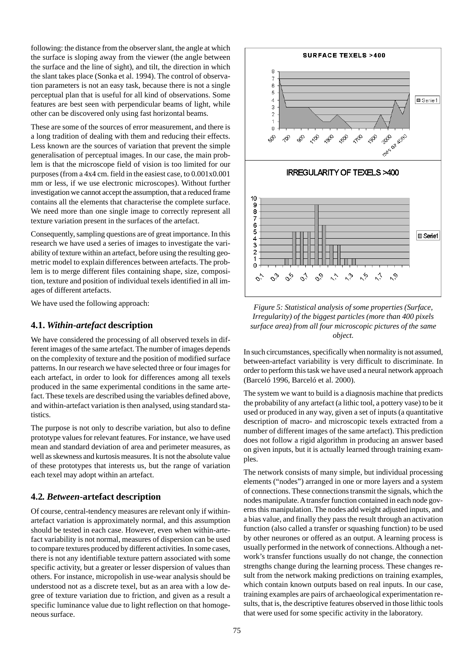following: the distance from the observer slant, the angle at which the surface is sloping away from the viewer (the angle between the surface and the line of sight), and tilt, the direction in which the slant takes place (Sonka et al. 1994). The control of observation parameters is not an easy task, because there is not a single perceptual plan that is useful for all kind of observations. Some features are best seen with perpendicular beams of light, while other can be discovered only using fast horizontal beams.

These are some of the sources of error measurement, and there is a long tradition of dealing with them and reducing their effects. Less known are the sources of variation that prevent the simple generalisation of perceptual images. In our case, the main problem is that the microscope field of vision is too limited for our purposes (from a 4x4 cm. field in the easiest case, to 0.001x0.001 mm or less, if we use electronic microscopes). Without further investigation we cannot accept the assumption, that a reduced frame contains all the elements that characterise the complete surface. We need more than one single image to correctly represent all texture variation present in the surfaces of the artefact.

Consequently, sampling questions are of great importance. In this research we have used a series of images to investigate the variability of texture within an artefact, before using the resulting geometric model to explain differences between artefacts. The problem is to merge different files containing shape, size, composition, texture and position of individual texels identified in all images of different artefacts.

We have used the following approach:

#### **4.1.** *Within-artefact* **description**

We have considered the processing of all observed texels in different images of the same artefact. The number of images depends on the complexity of texture and the position of modified surface patterns. In our research we have selected three or four images for each artefact, in order to look for differences among all texels produced in the same experimental conditions in the same artefact. These texels are described using the variables defined above, and within-artefact variation is then analysed, using standard statistics.

The purpose is not only to describe variation, but also to define prototype values for relevant features. For instance, we have used mean and standard deviation of area and perimeter measures, as well as skewness and kurtosis measures. It is not the absolute value of these prototypes that interests us, but the range of variation each texel may adopt within an artefact.

#### **4.2***. Between***-artefact description**

Of course, central-tendency measures are relevant only if withinartefact variation is approximately normal, and this assumption should be tested in each case. However, even when within-artefact variability is not normal, measures of dispersion can be used to compare textures produced by different activities. In some cases, there is not any identifiable texture pattern associated with some specific activity, but a greater or lesser dispersion of values than others. For instance, micropolish in use-wear analysis should be understood not as a discrete texel, but as an area with a low degree of texture variation due to friction, and given as a result a specific luminance value due to light reflection on that homogeneous surface.



*Figure 5: Statistical analysis of some properties (Surface, Irregularity) of the biggest particles (more than 400 pixels surface area) from all four microscopic pictures of the same object.*

In such circumstances, specifically when normality is not assumed, between-artefact variability is very difficult to discriminate. In order to perform this task we have used a neural network approach (Barceló 1996, Barceló et al. 2000).

The system we want to build is a diagnosis machine that predicts the probability of any artefact (a lithic tool, a pottery vase) to be it used or produced in any way, given a set of inputs (a quantitative description of macro- and microscopic texels extracted from a number of different images of the same artefact). This prediction does not follow a rigid algorithm in producing an answer based on given inputs, but it is actually learned through training examples.

The network consists of many simple, but individual processing elements ("nodes") arranged in one or more layers and a system of connections. These connections transmit the signals, which the nodes manipulate. A transfer function contained in each node governs this manipulation. The nodes add weight adjusted inputs, and a bias value, and finally they pass the result through an activation function (also called a transfer or squashing function) to be used by other neurones or offered as an output. A learning process is usually performed in the network of connections. Although a network's transfer functions usually do not change, the connection strengths change during the learning process. These changes result from the network making predictions on training examples, which contain known outputs based on real inputs. In our case, training examples are pairs of archaeological experimentation results, that is, the descriptive features observed in those lithic tools that were used for some specific activity in the laboratory.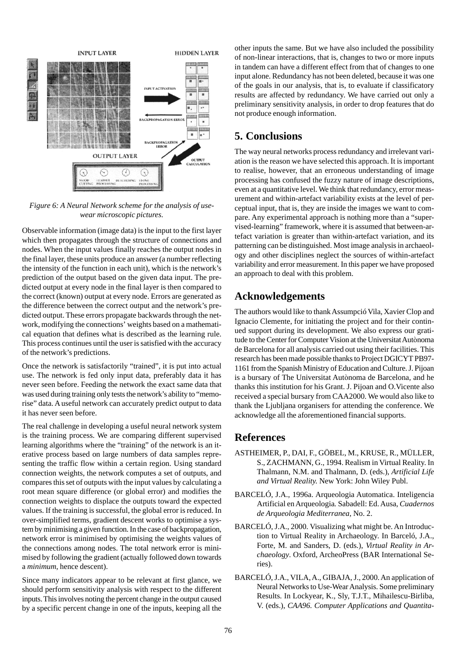

*Figure 6: A Neural Network scheme for the analysis of usewear microscopic pictures.*

Observable information (image data) is the input to the first layer which then propagates through the structure of connections and nodes. When the input values finally reaches the output nodes in the final layer, these units produce an answer (a number reflecting the intensity of the function in each unit), which is the network's prediction of the output based on the given data input. The predicted output at every node in the final layer is then compared to the correct (known) output at every node. Errors are generated as the difference between the correct output and the network's predicted output. These errors propagate backwards through the network, modifying the connections' weights based on a mathematical equation that defines what is described as the learning rule. This process continues until the user is satisfied with the accuracy of the network's predictions.

Once the network is satisfactorily "trained", it is put into actual use. The network is fed only input data, preferably data it has never seen before. Feeding the network the exact same data that was used during training only tests the network's ability to "memorise" data. A useful network can accurately predict output to data it has never seen before.

The real challenge in developing a useful neural network system is the training process. We are comparing different supervised learning algorithms where the "training" of the network is an iterative process based on large numbers of data samples representing the traffic flow within a certain region. Using standard connection weights, the network computes a set of outputs, and compares this set of outputs with the input values by calculating a root mean square difference (or global error) and modifies the connection weights to displace the outputs toward the expected values. If the training is successful, the global error is reduced. In over-simplified terms, gradient descent works to optimise a system by minimising a given function. In the case of backpropagation, network error is minimised by optimising the weights values of the connections among nodes. The total network error is minimised by following the gradient (actually followed down towards a *minimum*, hence descent).

Since many indicators appear to be relevant at first glance, we should perform sensitivity analysis with respect to the different inputs. This involves noting the percent change in the output caused by a specific percent change in one of the inputs, keeping all the

other inputs the same. But we have also included the possibility of non-linear interactions, that is, changes to two or more inputs in tandem can have a different effect from that of changes to one input alone. Redundancy has not been deleted, because it was one of the goals in our analysis, that is, to evaluate if classificatory results are affected by redundancy. We have carried out only a preliminary sensitivity analysis, in order to drop features that do not produce enough information.

# **5. Conclusions**

The way neural networks process redundancy and irrelevant variation is the reason we have selected this approach. It is important to realise, however, that an erroneous understanding of image processing has confused the fuzzy nature of image descriptions, even at a quantitative level. We think that redundancy, error measurement and within-artefact variability exists at the level of perceptual input, that is, they are inside the images we want to compare. Any experimental approach is nothing more than a "supervised-learning" framework, where it is assumed that between-artefact variation is greater than within-artefact variation, and its patterning can be distinguished. Most image analysis in archaeology and other disciplines neglect the sources of within-artefact variability and error measurement. In this paper we have proposed an approach to deal with this problem.

## **Acknowledgements**

The authors would like to thank Assumpció Vila, Xavier Clop and Ignacio Clemente, for initiating the project and for their continued support during its development. We also express our gratitude to the Center for Computer Vision at the Universitat Autònoma de Barcelona for all analysis carried out using their facilities. This research has been made possible thanks to Project DGICYT PB97- 1161 from the Spanish Ministry of Education and Culture. J. Pijoan is a bursary of The Universitat Autònoma de Barcelona, and he thanks this institution for his Grant. J. Pijoan and O.Vicente also received a special bursary from CAA2000. We would also like to thank the Ljubljana organisers for attending the conference. We acknowledge all the aforementioned financial supports.

## **References**

- ASTHEIMER, P., DAI, F., GÖBEL, M., KRUSE, R., MÜLLER, S., ZACHMANN, G., 1994. Realism in Virtual Reality. In Thalmann, N.M. and Thalmann, D. (eds.), *Artificial Life and Virtual Reality.* New York: John Wiley Publ.
- BARCELÓ, J.A., 1996a. Arqueologia Automatica. Inteligencia Artificial en Arqueologia*.* Sabadell: Ed. Ausa, *Cuadernos de Arqueologia Mediterranea*, No. 2.
- BARCELÓ, J.A., 2000. Visualizing what might be. An Introduction to Virtual Reality in Archaeology. In Barceló, J.A., Forte, M. and Sanders, D. (eds.), *Virtual Reality in Archaeology*. Oxford, ArcheoPress (BAR International Series).
- BARCELÓ, J.A., VILA, A., GIBAJA, J., 2000. An application of Neural Networks to Use-Wear Analysis. Some preliminary Results. In Lockyear, K., Sly, T.J.T., Mihailescu-Birliba, V. (eds.), *CAA96. Computer Applications and Quantita-*